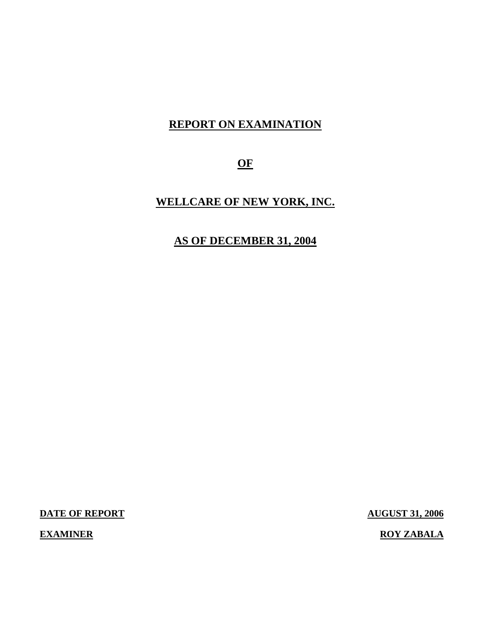## **REPORT ON EXAMINATION**

**OF** 

## **WELLCARE OF NEW YORK, INC.**

## **AS OF DECEMBER 31, 2004**

**DATE OF REPORT AUGUST 31, 2006** 

**EXAMINER EXAMINER ROY ZABALA**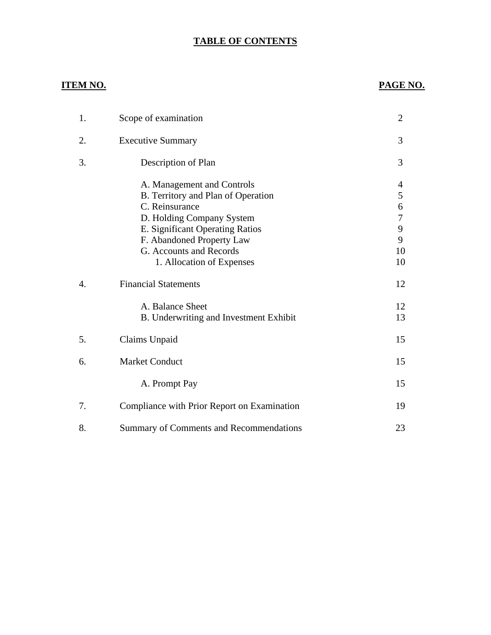#### **TABLE OF CONTENTS**

### **ITEM NO. PAGE NO.**

| 1.               | Scope of examination                                                                                                                                                                                                                    | $\overline{2}$                         |
|------------------|-----------------------------------------------------------------------------------------------------------------------------------------------------------------------------------------------------------------------------------------|----------------------------------------|
| 2.               | <b>Executive Summary</b>                                                                                                                                                                                                                | 3                                      |
| 3.               | Description of Plan                                                                                                                                                                                                                     | 3                                      |
|                  | A. Management and Controls<br>B. Territory and Plan of Operation<br>C. Reinsurance<br>D. Holding Company System<br>E. Significant Operating Ratios<br>F. Abandoned Property Law<br>G. Accounts and Records<br>1. Allocation of Expenses | 4<br>5<br>6<br>7<br>9<br>9<br>10<br>10 |
| $\overline{4}$ . | <b>Financial Statements</b>                                                                                                                                                                                                             | 12                                     |
|                  | A. Balance Sheet<br>B. Underwriting and Investment Exhibit                                                                                                                                                                              | 12<br>13                               |
| 5.               | Claims Unpaid                                                                                                                                                                                                                           | 15                                     |
| 6.               | <b>Market Conduct</b>                                                                                                                                                                                                                   | 15                                     |
|                  | A. Prompt Pay                                                                                                                                                                                                                           | 15                                     |
| 7.               | Compliance with Prior Report on Examination                                                                                                                                                                                             | 19                                     |
| 8.               | Summary of Comments and Recommendations                                                                                                                                                                                                 | 23                                     |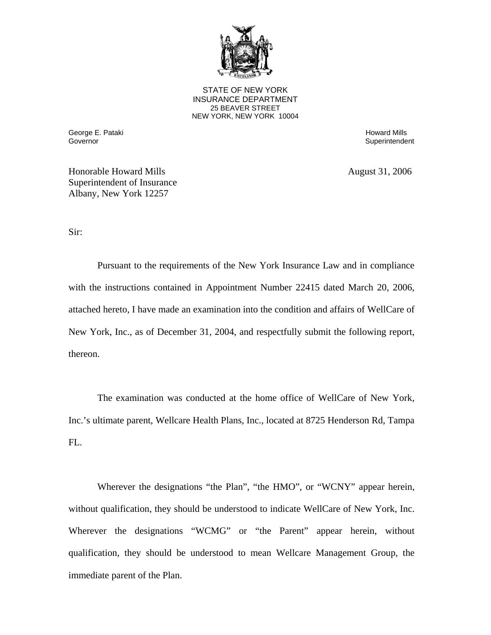

**25 BEAVER STREET** STATE OF NEW YORK INSURANCE DEPARTMENT NEW YORK, NEW YORK 10004

George E. Pataki Howard Mills

Superintendent

Honorable Howard Mills August 31, 2006 Superintendent of Insurance Albany, New York 12257

Sir:

Pursuant to the requirements of the New York Insurance Law and in compliance with the instructions contained in Appointment Number 22415 dated March 20, 2006, attached hereto, I have made an examination into the condition and affairs of WellCare of New York, Inc., as of December 31, 2004, and respectfully submit the following report, thereon.

The examination was conducted at the home office of WellCare of New York, Inc.'s ultimate parent, Wellcare Health Plans, Inc., located at 8725 Henderson Rd, Tampa  $FL.$ 

Wherever the designations "the Plan", "the HMO", or "WCNY" appear herein, without qualification, they should be understood to indicate WellCare of New York, Inc. Wherever the designations "WCMG" or "the Parent" appear herein, without qualification, they should be understood to mean Wellcare Management Group, the immediate parent of the Plan.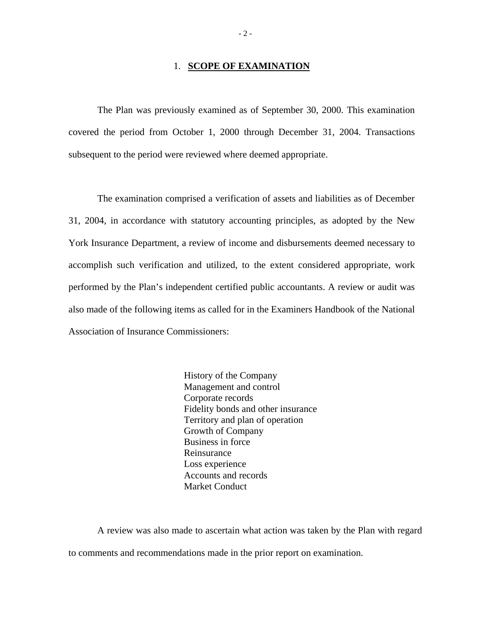#### 1. **SCOPE OF EXAMINATION**

The Plan was previously examined as of September 30, 2000. This examination covered the period from October 1, 2000 through December 31, 2004. Transactions subsequent to the period were reviewed where deemed appropriate.

The examination comprised a verification of assets and liabilities as of December 31, 2004, in accordance with statutory accounting principles, as adopted by the New York Insurance Department, a review of income and disbursements deemed necessary to accomplish such verification and utilized, to the extent considered appropriate, work performed by the Plan's independent certified public accountants. A review or audit was also made of the following items as called for in the Examiners Handbook of the National Association of Insurance Commissioners:

> History of the Company Management and control Corporate records Fidelity bonds and other insurance Territory and plan of operation Growth of Company Business in force Reinsurance Loss experience Accounts and records Market Conduct

A review was also made to ascertain what action was taken by the Plan with regard to comments and recommendations made in the prior report on examination.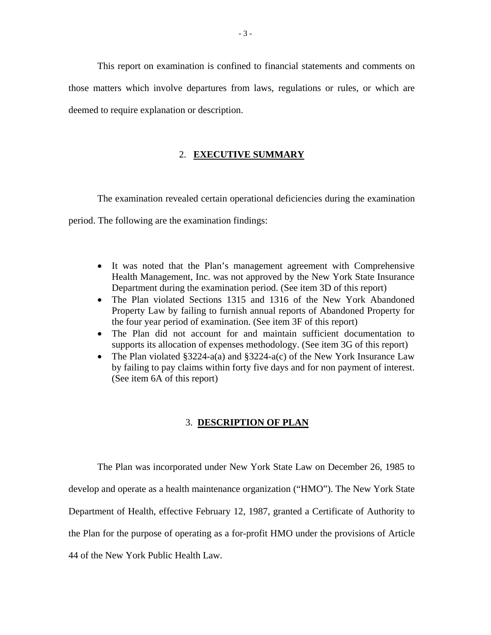This report on examination is confined to financial statements and comments on those matters which involve departures from laws, regulations or rules, or which are deemed to require explanation or description.

#### 2. **EXECUTIVE SUMMARY**

The examination revealed certain operational deficiencies during the examination

period. The following are the examination findings:

- It was noted that the Plan's management agreement with Comprehensive Health Management, Inc. was not approved by the New York State Insurance Department during the examination period. (See item 3D of this report)
- The Plan violated Sections 1315 and 1316 of the New York Abandoned Property Law by failing to furnish annual reports of Abandoned Property for the four year period of examination. (See item 3F of this report)
- The Plan did not account for and maintain sufficient documentation to supports its allocation of expenses methodology. (See item 3G of this report)
- The Plan violated §3224-a(a) and §3224-a(c) of the New York Insurance Law by failing to pay claims within forty five days and for non payment of interest. (See item 6A of this report)

#### 3. **DESCRIPTION OF PLAN**

The Plan was incorporated under New York State Law on December 26, 1985 to develop and operate as a health maintenance organization ("HMO"). The New York State Department of Health, effective February 12, 1987, granted a Certificate of Authority to the Plan for the purpose of operating as a for-profit HMO under the provisions of Article 44 of the New York Public Health Law.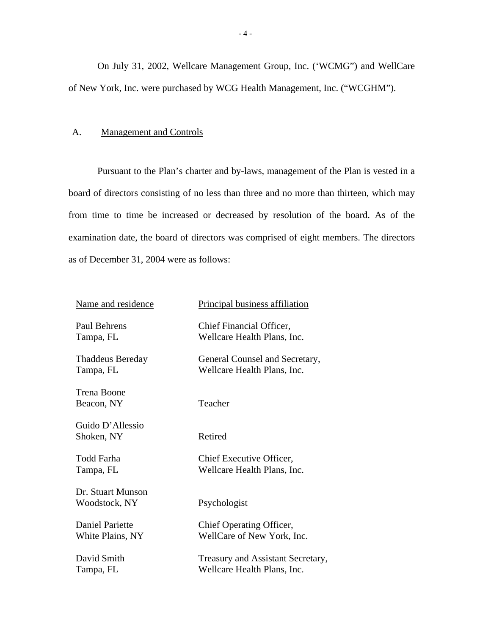On July 31, 2002, Wellcare Management Group, Inc. ('WCMG") and WellCare of New York, Inc. were purchased by WCG Health Management, Inc. ("WCGHM").

#### A. Management and Controls

Pursuant to the Plan's charter and by-laws, management of the Plan is vested in a board of directors consisting of no less than three and no more than thirteen, which may from time to time be increased or decreased by resolution of the board. As of the examination date, the board of directors was comprised of eight members. The directors as of December 31, 2004 were as follows:

| Name and residence                 | Principal business affiliation    |
|------------------------------------|-----------------------------------|
| Paul Behrens                       | Chief Financial Officer,          |
| Tampa, FL                          | Wellcare Health Plans, Inc.       |
| <b>Thaddeus Bereday</b>            | General Counsel and Secretary,    |
| Tampa, FL                          | Wellcare Health Plans, Inc.       |
| Trena Boone<br>Beacon, NY          | Teacher                           |
| Guido D'Allessio<br>Shoken, NY     | Retired                           |
| <b>Todd Farha</b>                  | Chief Executive Officer,          |
| Tampa, FL                          | Wellcare Health Plans, Inc.       |
| Dr. Stuart Munson<br>Woodstock, NY | Psychologist                      |
| Daniel Pariette                    | Chief Operating Officer,          |
| White Plains, NY                   | WellCare of New York, Inc.        |
| David Smith                        | Treasury and Assistant Secretary, |
| Tampa, FL                          | Wellcare Health Plans, Inc.       |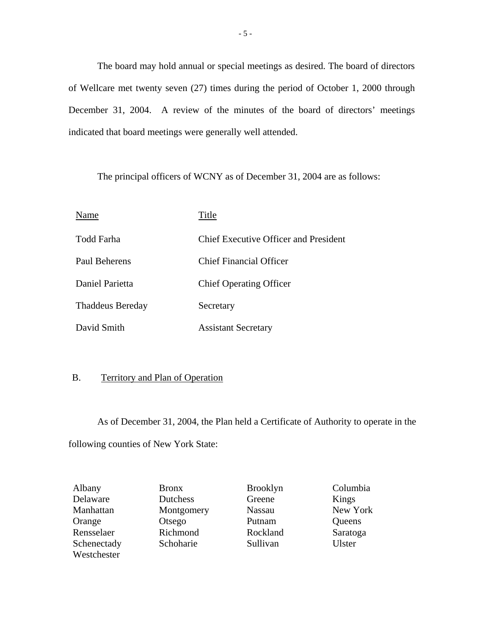indicated that board meetings were generally well attended. The board may hold annual or special meetings as desired. The board of directors of Wellcare met twenty seven (27) times during the period of October 1, 2000 through December 31, 2004. A review of the minutes of the board of directors' meetings

The principal officers of WCNY as of December 31, 2004 are as follows:

| Name                    | Title                                 |
|-------------------------|---------------------------------------|
| Todd Farha              | Chief Executive Officer and President |
| Paul Beherens           | <b>Chief Financial Officer</b>        |
| Daniel Parietta         | <b>Chief Operating Officer</b>        |
| <b>Thaddeus Bereday</b> | Secretary                             |
| David Smith             | <b>Assistant Secretary</b>            |

#### B. Territory and Plan of Operation

As of December 31, 2004, the Plan held a Certificate of Authority to operate in the following counties of New York State:

| Albany      | <b>Bronx</b> | <b>Brooklyn</b> | Columbia |
|-------------|--------------|-----------------|----------|
| Delaware    | Dutchess     | Greene          | Kings    |
| Manhattan   | Montgomery   | <b>Nassau</b>   | New York |
| Orange      | Otsego       | Putnam          | Queens   |
| Rensselaer  | Richmond     | Rockland        | Saratoga |
| Schenectady | Schoharie    | Sullivan        | Ulster   |
| Westchester |              |                 |          |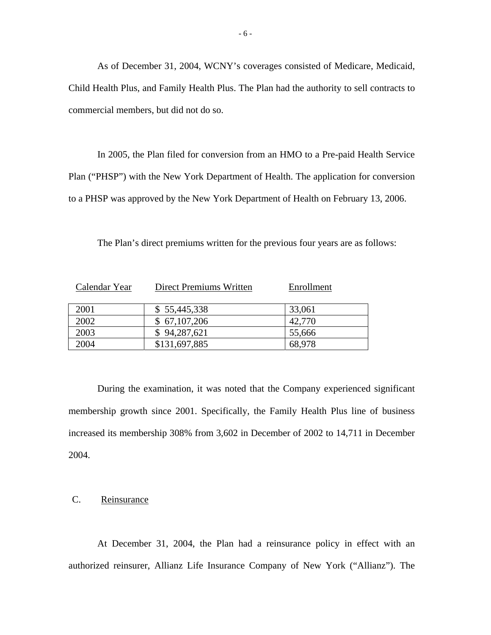As of December 31, 2004, WCNY's coverages consisted of Medicare, Medicaid, Child Health Plus, and Family Health Plus. The Plan had the authority to sell contracts to commercial members, but did not do so.

In 2005, the Plan filed for conversion from an HMO to a Pre-paid Health Service Plan ("PHSP") with the New York Department of Health. The application for conversion to a PHSP was approved by the New York Department of Health on February 13, 2006.

The Plan's direct premiums written for the previous four years are as follows:

| Calendar Year | Direct Premiums Written | Enrollment |
|---------------|-------------------------|------------|
| 2001          | \$55,445,338            | 33,061     |
| 2002          | \$67,107,206            | 42,770     |
| 2003          | \$94,287,621            | 55,666     |
| 2004          | \$131,697,885           | 68,978     |

During the examination, it was noted that the Company experienced significant membership growth since 2001. Specifically, the Family Health Plus line of business increased its membership 308% from 3,602 in December of 2002 to 14,711 in December 2004.

#### C. Reinsurance

At December 31, 2004, the Plan had a reinsurance policy in effect with an authorized reinsurer, Allianz Life Insurance Company of New York ("Allianz"). The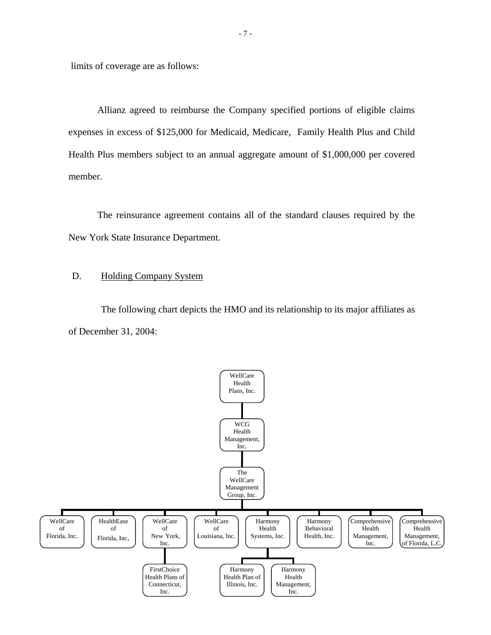limits of coverage are as follows:

Allianz agreed to reimburse the Company specified portions of eligible claims expenses in excess of \$125,000 for Medicaid, Medicare, Family Health Plus and Child Health Plus members subject to an annual aggregate amount of \$1,000,000 per covered member.

The reinsurance agreement contains all of the standard clauses required by the New York State Insurance Department.

#### D. Holding Company System

The following chart depicts the HMO and its relationship to its major affiliates as of December 31, 2004:

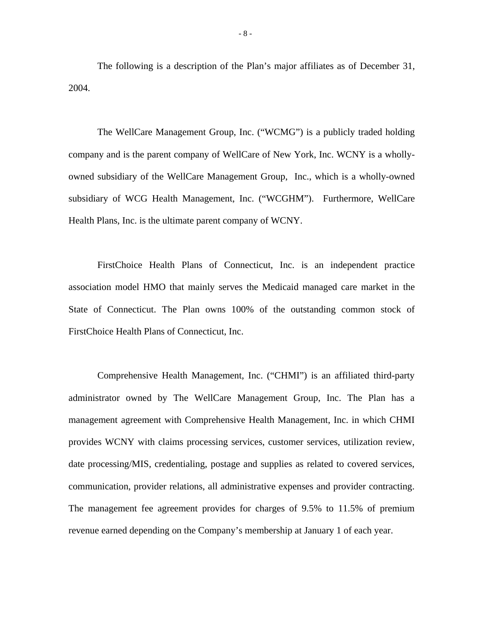The following is a description of the Plan's major affiliates as of December 31, 2004.

The WellCare Management Group, Inc. ("WCMG") is a publicly traded holding company and is the parent company of WellCare of New York, Inc. WCNY is a whollyowned subsidiary of the WellCare Management Group, Inc., which is a wholly-owned subsidiary of WCG Health Management, Inc. ("WCGHM"). Furthermore, WellCare Health Plans, Inc. is the ultimate parent company of WCNY.

FirstChoice Health Plans of Connecticut, Inc. is an independent practice association model HMO that mainly serves the Medicaid managed care market in the State of Connecticut. The Plan owns 100% of the outstanding common stock of FirstChoice Health Plans of Connecticut, Inc.

Comprehensive Health Management, Inc. ("CHMI") is an affiliated third-party administrator owned by The WellCare Management Group, Inc. The Plan has a management agreement with Comprehensive Health Management, Inc. in which CHMI provides WCNY with claims processing services, customer services, utilization review, date processing/MIS, credentialing, postage and supplies as related to covered services, communication, provider relations, all administrative expenses and provider contracting. The management fee agreement provides for charges of 9.5% to 11.5% of premium revenue earned depending on the Company's membership at January 1 of each year.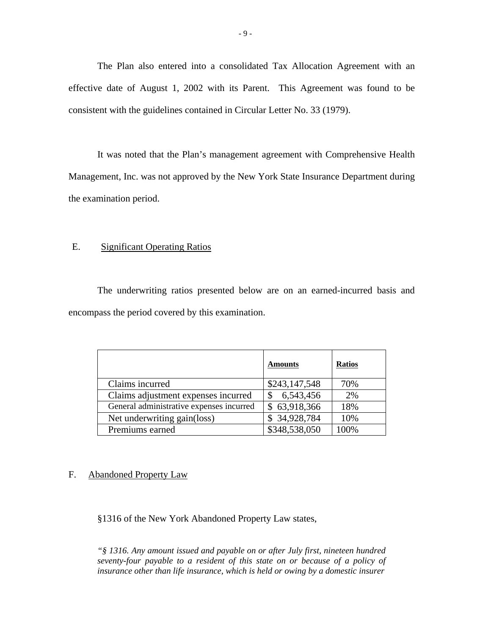The Plan also entered into a consolidated Tax Allocation Agreement with an effective date of August 1, 2002 with its Parent. This Agreement was found to be consistent with the guidelines contained in Circular Letter No. 33 (1979).

It was noted that the Plan's management agreement with Comprehensive Health Management, Inc. was not approved by the New York State Insurance Department during the examination period.

#### E. Significant Operating Ratios

The underwriting ratios presented below are on an earned-incurred basis and encompass the period covered by this examination.

|                                          | <b>Amounts</b> | <b>Ratios</b> |
|------------------------------------------|----------------|---------------|
| Claims incurred                          | \$243,147,548  | 70%           |
| Claims adjustment expenses incurred      | 6,543,456      | 2%            |
| General administrative expenses incurred | \$63,918,366   | 18%           |
| Net underwriting gain(loss)              | \$34,928,784   | 10%           |
| Premiums earned                          | \$348,538,050  | 100%          |

#### F. Abandoned Property Law

§1316 of the New York Abandoned Property Law states,

*seventy-four payable to a resident of this state on or because of a policy of "§ 1316. Any amount issued and payable on or after July first, nineteen hundred*  insurance other than life insurance, which is held or owing by a domestic insurer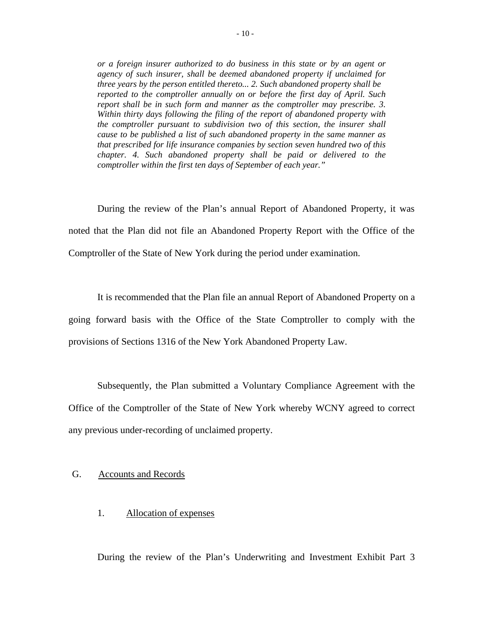*or a foreign insurer authorized to do business in this state or by an agent or agency of such insurer, shall be deemed abandoned property if unclaimed for three years by the person entitled thereto... 2. Such abandoned property shall be reported to the comptroller annually on or before the first day of April. Such report shall be in such form and manner as the comptroller may prescribe. 3. Within thirty days following the filing of the report of abandoned property with the comptroller pursuant to subdivision two of this section, the insurer shall cause to be published a list of such abandoned property in the same manner as that prescribed for life insurance companies by section seven hundred two of this chapter. 4. Such abandoned property shall be paid or delivered to the comptroller within the first ten days of September of each year."* 

During the review of the Plan's annual Report of Abandoned Property, it was noted that the Plan did not file an Abandoned Property Report with the Office of the Comptroller of the State of New York during the period under examination.

It is recommended that the Plan file an annual Report of Abandoned Property on a going forward basis with the Office of the State Comptroller to comply with the provisions of Sections 1316 of the New York Abandoned Property Law.

Subsequently, the Plan submitted a Voluntary Compliance Agreement with the Office of the Comptroller of the State of New York whereby WCNY agreed to correct any previous under-recording of unclaimed property.

#### G. Accounts and Records

#### 1. Allocation of expenses

During the review of the Plan's Underwriting and Investment Exhibit Part 3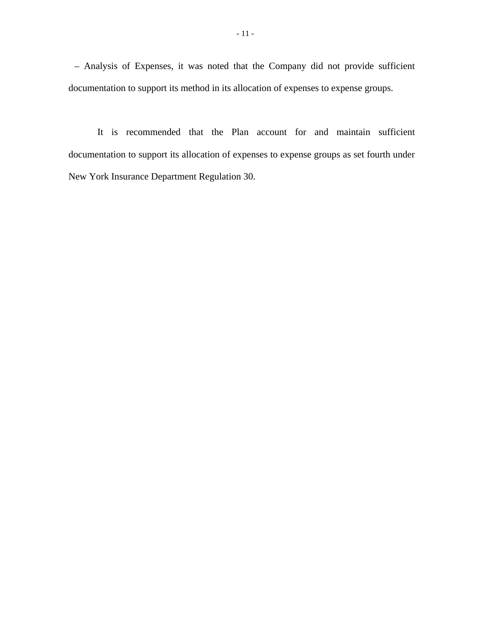– Analysis of Expenses, it was noted that the Company did not provide sufficient documentation to support its method in its allocation of expenses to expense groups.

It is recommended that the Plan account for and maintain sufficient documentation to support its allocation of expenses to expense groups as set fourth under New York Insurance Department Regulation 30.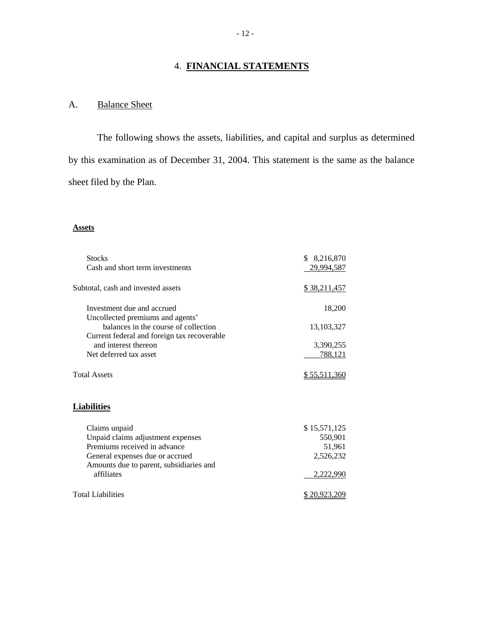#### 4. **FINANCIAL STATEMENTS**

## **Balance Sheet**

A. Balance Sheet<br>The following shows the assets, liabilities, and capital and surplus as determined by this examination as of December 31, 2004. This statement is the same as the balance sheet filed by the Plan.

#### **Assets**

| <b>Stocks</b><br>Cash and short term investments                                    | \$ 8,216,870<br>29,994,587 |
|-------------------------------------------------------------------------------------|----------------------------|
| Subtotal, cash and invested assets                                                  | <u>\$38,211,457</u>        |
| Investment due and accrued<br>Uncollected premiums and agents'                      | 18,200                     |
| balances in the course of collection<br>Current federal and foreign tax recoverable | 13, 103, 327               |
| and interest thereon                                                                | 3,390,255                  |
| Net deferred tax asset                                                              | <u>788,121</u>             |
| <b>Total Assets</b>                                                                 | \$55,511,360               |
| <b>Liabilities</b>                                                                  |                            |
| Claims unpaid                                                                       | \$15,571,125               |
| Unpaid claims adjustment expenses                                                   | 550,901                    |
| Premiums received in advance                                                        | 51,961                     |
| General expenses due or accrued                                                     | 2,526,232                  |
| Amounts due to parent, subsidiaries and<br>affiliates                               | 2,222,990                  |
| <b>Total Liabilities</b>                                                            | \$20,923,209               |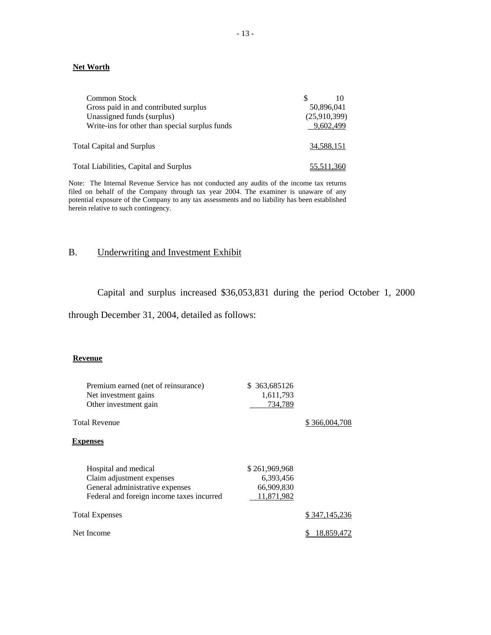#### **Net Worth**

| <b>Common Stock</b>                            | 10           |
|------------------------------------------------|--------------|
| Gross paid in and contributed surplus          | 50,896,041   |
| Unassigned funds (surplus)                     | (25,910,399) |
| Write-ins for other than special surplus funds | 9,602,499    |
|                                                |              |
| Total Capital and Surplus                      | 34.588.151   |
|                                                |              |
| Total Liabilities, Capital and Surplus         | 55,511,360   |

Note: The Internal Revenue Service has not conducted any audits of the income tax returns filed on behalf of the Company through tax year 2004. The examiner is unaware of any potential exposure of the Company to any tax assessments and no liability has been established herein relative to such contingency.

#### B. Underwriting and Investment Exhibit

Capital and surplus increased \$36,053,831 during the period October 1, 2000

through December 31, 2004, detailed as follows:

#### **Revenue**

| Premium earned (net of reinsurance)<br>Net investment gains<br>Other investment gain<br><b>Total Revenue</b>                      | \$ 363,685126<br>1,611,793<br>734,789                  | \$366,004,708 |
|-----------------------------------------------------------------------------------------------------------------------------------|--------------------------------------------------------|---------------|
| <b>Expenses</b>                                                                                                                   |                                                        |               |
| Hospital and medical<br>Claim adjustment expenses<br>General administrative expenses<br>Federal and foreign income taxes incurred | \$261,969,968<br>6,393,456<br>66,909,830<br>11,871,982 |               |
| <b>Total Expenses</b>                                                                                                             |                                                        | \$347,145,236 |
| Net Income                                                                                                                        |                                                        | 18,859,472    |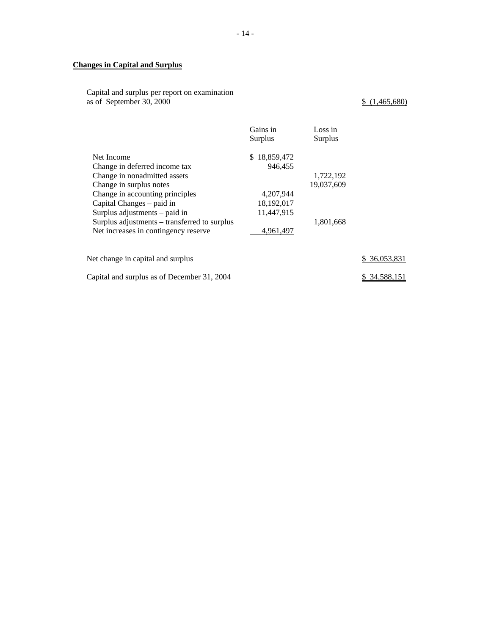#### **Changes in Capital and Surplus**

Capital and surplus per report on examination as of September 30, 2000  $\frac{\$ (1,465,680)}{$ 

|                                                                                                                                                                                                                                                                                                 | Gains in<br>Surplus                                                                | Loss in<br>Surplus                   |              |
|-------------------------------------------------------------------------------------------------------------------------------------------------------------------------------------------------------------------------------------------------------------------------------------------------|------------------------------------------------------------------------------------|--------------------------------------|--------------|
| Net Income<br>Change in deferred income tax<br>Change in nonadmitted assets<br>Change in surplus notes<br>Change in accounting principles<br>Capital Changes – paid in<br>Surplus adjustments – paid in<br>Surplus adjustments – transferred to surplus<br>Net increases in contingency reserve | 18,859,472<br>\$.<br>946.455<br>4,207,944<br>18,192,017<br>11,447,915<br>4,961,497 | 1,722,192<br>19,037,609<br>1,801,668 |              |
| Net change in capital and surplus                                                                                                                                                                                                                                                               |                                                                                    |                                      | \$36,053,831 |
| Capital and surplus as of December 31, 2004                                                                                                                                                                                                                                                     |                                                                                    |                                      | 34.588.151   |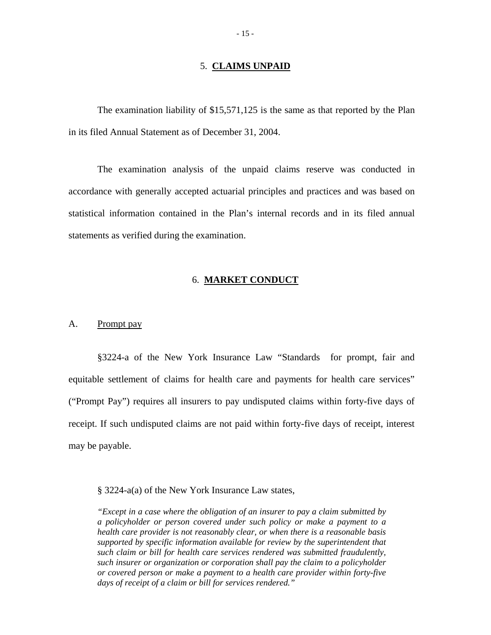#### 5. **CLAIMS UNPAID**

The examination liability of \$15,571,125 is the same as that reported by the Plan in its filed Annual Statement as of December 31, 2004.

The examination analysis of the unpaid claims reserve was conducted in accordance with generally accepted actuarial principles and practices and was based on statistical information contained in the Plan's internal records and in its filed annual statements as verified during the examination.

#### 6. **MARKET CONDUCT**

#### A. Prompt pay

§3224-a of the New York Insurance Law "Standards for prompt, fair and equitable settlement of claims for health care and payments for health care services" ("Prompt Pay") requires all insurers to pay undisputed claims within forty-five days of receipt. If such undisputed claims are not paid within forty-five days of receipt, interest may be payable.

§ 3224-a(a) of the New York Insurance Law states,

*"Except in a case where the obligation of an insurer to pay a claim submitted by a policyholder or person covered under such policy or make a payment to a health care provider is not reasonably clear, or when there is a reasonable basis supported by specific information available for review by the superintendent that such claim or bill for health care services rendered was submitted fraudulently, such insurer or organization or corporation shall pay the claim to a policyholder or covered person or make a payment to a health care provider within forty-five days of receipt of a claim or bill for services rendered."*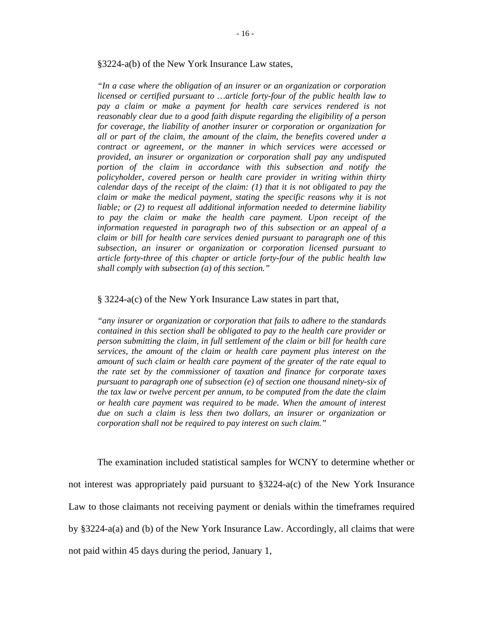§3224-a(b) of the New York Insurance Law states,

subsection, an insurer or organization or corporation licensed pursuant to *"In a case where the obligation of an insurer or an organization or corporation licensed or certified pursuant to …article forty-four of the public health law to pay a claim or make a payment for health care services rendered is not reasonably clear due to a good faith dispute regarding the eligibility of a person for coverage, the liability of another insurer or corporation or organization for all or part of the claim, the amount of the claim, the benefits covered under a contract or agreement, or the manner in which services were accessed or provided, an insurer or organization or corporation shall pay any undisputed portion of the claim in accordance with this subsection and notify the policyholder, covered person or health care provider in writing within thirty calendar days of the receipt of the claim: (1) that it is not obligated to pay the claim or make the medical payment, stating the specific reasons why it is not liable; or (2) to request all additional information needed to determine liability to pay the claim or make the health care payment. Upon receipt of the information requested in paragraph two of this subsection or an appeal of a claim or bill for health care services denied pursuant to paragraph one of this article forty-three of this chapter or article forty-four of the public health law shall comply with subsection (a) of this section."* 

#### § 3224-a(c) of the New York Insurance Law states in part that,

*"any insurer or organization or corporation that fails to adhere to the standards contained in this section shall be obligated to pay to the health care provider or person submitting the claim, in full settlement of the claim or bill for health care services, the amount of the claim or health care payment plus interest on the amount of such claim or health care payment of the greater of the rate equal to the rate set by the commissioner of taxation and finance for corporate taxes pursuant to paragraph one of subsection (e) of section one thousand ninety-six of the tax law or twelve percent per annum, to be computed from the date the claim or health care payment was required to be made. When the amount of interest due on such a claim is less then two dollars, an insurer or organization or corporation shall not be required to pay interest on such claim."* 

The examination included statistical samples for WCNY to determine whether or not interest was appropriately paid pursuant to §3224-a(c) of the New York Insurance Law to those claimants not receiving payment or denials within the timeframes required by §3224-a(a) and (b) of the New York Insurance Law. Accordingly, all claims that were not paid within 45 days during the period, January 1,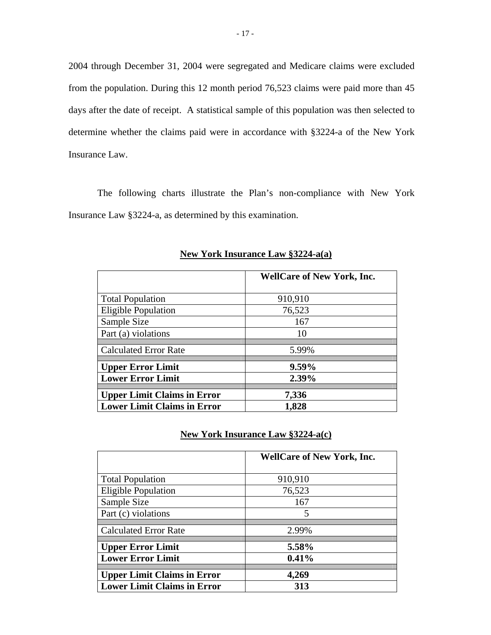2004 through December 31, 2004 were segregated and Medicare claims were excluded from the population. During this 12 month period 76,523 claims were paid more than 45 days after the date of receipt. A statistical sample of this population was then selected to determine whether the claims paid were in accordance with §3224-a of the New York Insurance Law.

The following charts illustrate the Plan's non-compliance with New York Insurance Law §3224-a, as determined by this examination.

|                                    | <b>WellCare of New York, Inc.</b> |
|------------------------------------|-----------------------------------|
| <b>Total Population</b>            | 910,910                           |
| <b>Eligible Population</b>         | 76,523                            |
| Sample Size                        | 167                               |
| Part (a) violations                | 10                                |
| <b>Calculated Error Rate</b>       | 5.99%                             |
| <b>Upper Error Limit</b>           | $9.59\%$                          |
| <b>Lower Error Limit</b>           | 2.39%                             |
| <b>Upper Limit Claims in Error</b> | 7,336                             |
| <b>Lower Limit Claims in Error</b> | 1,828                             |

**New York Insurance Law §3224-a(a)** 

#### **New York Insurance Law §3224-a(c)**

|                                    | <b>WellCare of New York, Inc.</b> |
|------------------------------------|-----------------------------------|
| <b>Total Population</b>            | 910,910                           |
| <b>Eligible Population</b>         | 76,523                            |
| Sample Size                        | 167                               |
| Part (c) violations                | 5                                 |
| <b>Calculated Error Rate</b>       | 2.99%                             |
| <b>Upper Error Limit</b>           | 5.58%                             |
| <b>Lower Error Limit</b>           | 0.41%                             |
| <b>Upper Limit Claims in Error</b> | 4,269                             |
| <b>Lower Limit Claims in Error</b> | 313                               |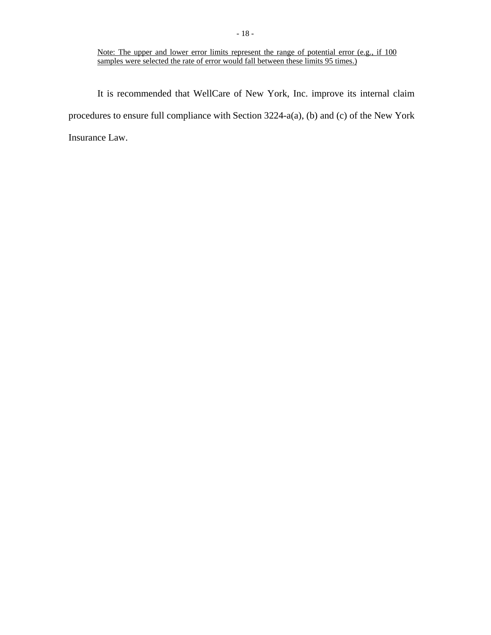#### Note: The upper and lower error limits represent the range of potential error (e.g., if 100 samples were selected the rate of error would fall between these limits 95 times.)

It is recommended that WellCare of New York, Inc. improve its internal claim procedures to ensure full compliance with Section 3224-a(a), (b) and (c) of the New York Insurance Law.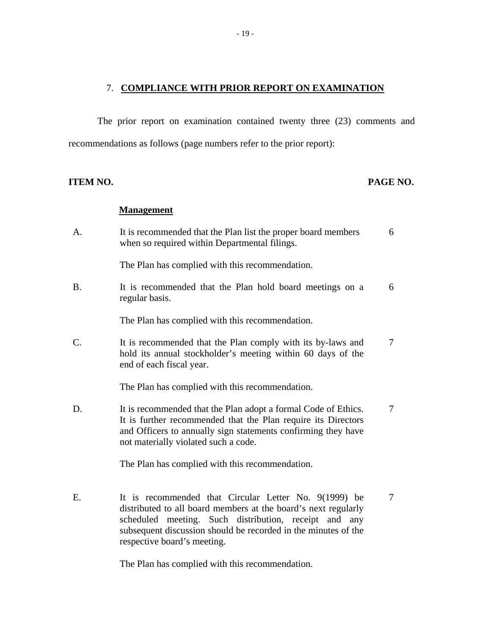#### 7. **COMPLIANCE WITH PRIOR REPORT ON EXAMINATION**

The prior report on examination contained twenty three (23) comments and recommendations as follows (page numbers refer to the prior report):

#### **ITEM NO. PAGE NO.**

#### **Management**

| A.                    | It is recommended that the Plan list the proper board members<br>when so required within Departmental filings.                                                                                                                           | 6 |
|-----------------------|------------------------------------------------------------------------------------------------------------------------------------------------------------------------------------------------------------------------------------------|---|
|                       | The Plan has complied with this recommendation.                                                                                                                                                                                          |   |
| <b>B.</b>             | It is recommended that the Plan hold board meetings on a<br>regular basis.                                                                                                                                                               | 6 |
|                       | The Plan has complied with this recommendation.                                                                                                                                                                                          |   |
| $\mathcal{C}_{\cdot}$ | It is recommended that the Plan comply with its by-laws and<br>hold its annual stockholder's meeting within 60 days of the<br>end of each fiscal year.                                                                                   | 7 |
|                       | The Plan has complied with this recommendation.                                                                                                                                                                                          |   |
| D.                    | It is recommended that the Plan adopt a formal Code of Ethics.<br>It is further recommended that the Plan require its Directors<br>and Officers to annually sign statements confirming they have<br>not materially violated such a code. | 7 |
|                       | The Plan has complied with this recommendation.                                                                                                                                                                                          |   |

E. It is recommended that Circular Letter No. 9(1999) be 7 distributed to all board members at the board's next regularly scheduled meeting. Such distribution, receipt and any subsequent discussion should be recorded in the minutes of the respective board's meeting.

The Plan has complied with this recommendation.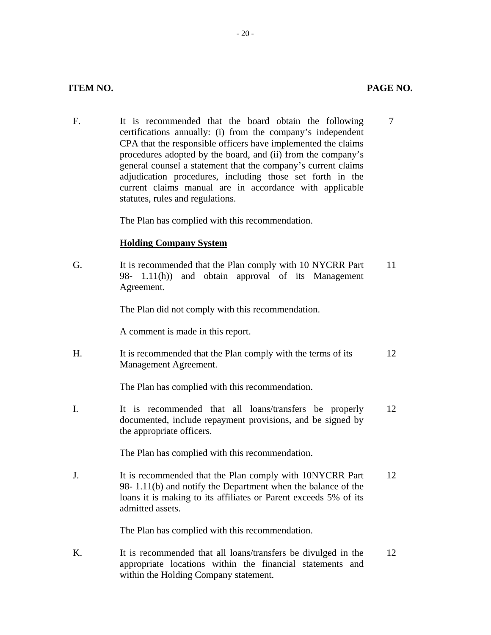F. It is recommended that the board obtain the following 7 certifications annually: (i) from the company's independent CPA that the responsible officers have implemented the claims procedures adopted by the board, and (ii) from the company's general counsel a statement that the company's current claims adjudication procedures, including those set forth in the current claims manual are in accordance with applicable statutes, rules and regulations.

The Plan has complied with this recommendation.

#### **Holding Company System**

G. It is recommended that the Plan comply with 10 NYCRR Part 11 98- 1.11(h)) and obtain approval of its Management Agreement.

The Plan did not comply with this recommendation.

A comment is made in this report.

H. It is recommended that the Plan comply with the terms of its 12 Management Agreement.

The Plan has complied with this recommendation.

I. It is recommended that all loans/transfers be properly 12 documented, include repayment provisions, and be signed by the appropriate officers.

The Plan has complied with this recommendation.

J. It is recommended that the Plan comply with 10NYCRR Part 12 98- 1.11(b) and notify the Department when the balance of the loans it is making to its affiliates or Parent exceeds 5% of its admitted assets.

The Plan has complied with this recommendation.

K. It is recommended that all loans/transfers be divulged in the 12 appropriate locations within the financial statements and within the Holding Company statement.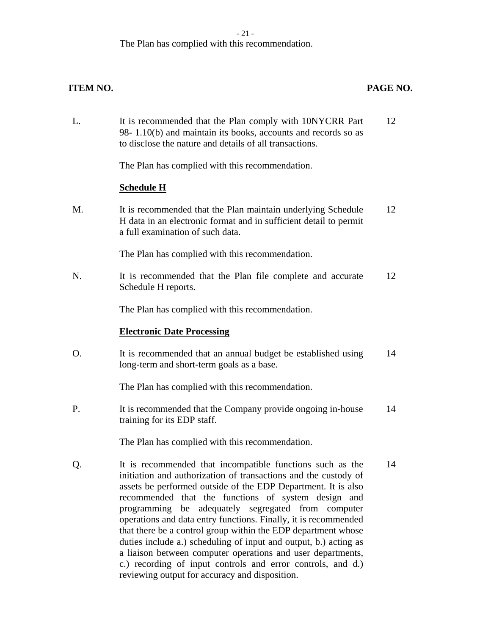#### $-21 -$

L. It is recommended that the Plan comply with 10NYCRR Part 12

The Plan has complied with this recommendation.

## 98- 1.10(b) and maintain its books, accounts and records so as to disclose the nature and details of all transactions. The Plan has complied with this recommendation. **Schedule H**  M. It is recommended that the Plan maintain underlying Schedule 12 H data in an electronic format and in sufficient detail to permit a full examination of such data. The Plan has complied with this recommendation. N. It is recommended that the Plan file complete and accurate 12 Schedule H reports. The Plan has complied with this recommendation. **Electronic Date Processing**  O. It is recommended that an annual budget be established using 14 long-term and short-term goals as a base. The Plan has complied with this recommendation. P. It is recommended that the Company provide ongoing in-house 14 training for its EDP staff. The Plan has complied with this recommendation. Q. It is recommended that incompatible functions such as the 14 initiation and authorization of transactions and the custody of assets be performed outside of the EDP Department. It is also recommended that the functions of system design and programming be adequately segregated from computer operations and data entry functions. Finally, it is recommended that there be a control group within the EDP department whose

duties include a.) scheduling of input and output, b.) acting as a liaison between computer operations and user departments, c.) recording of input controls and error controls, and d.) reviewing output for accuracy and disposition.

#### **ITEM NO. PAGE NO.**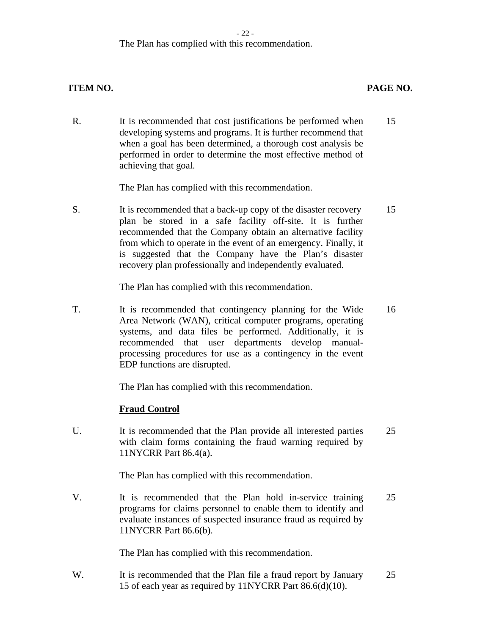#### - 22 -

#### The Plan has complied with this recommendation.

#### **ITEM NO. PAGE NO.**

R. It is recommended that cost justifications be performed when 15 developing systems and programs. It is further recommend that when a goal has been determined, a thorough cost analysis be performed in order to determine the most effective method of achieving that goal.

The Plan has complied with this recommendation.

S. It is recommended that a back-up copy of the disaster recovery 15 plan be stored in a safe facility off-site. It is further recommended that the Company obtain an alternative facility from which to operate in the event of an emergency. Finally, it is suggested that the Company have the Plan's disaster recovery plan professionally and independently evaluated.

The Plan has complied with this recommendation.

T. It is recommended that contingency planning for the Wide 16 Area Network (WAN), critical computer programs, operating systems, and data files be performed. Additionally, it is recommended that user departments develop manualprocessing procedures for use as a contingency in the event EDP functions are disrupted.

The Plan has complied with this recommendation.

#### **Fraud Control**

U. It is recommended that the Plan provide all interested parties 25 with claim forms containing the fraud warning required by 11NYCRR Part 86.4(a).

The Plan has complied with this recommendation.

V. It is recommended that the Plan hold in-service training 25 programs for claims personnel to enable them to identify and evaluate instances of suspected insurance fraud as required by 11NYCRR Part 86.6(b).

The Plan has complied with this recommendation.

W. It is recommended that the Plan file a fraud report by January 25 15 of each year as required by 11NYCRR Part 86.6(d)(10).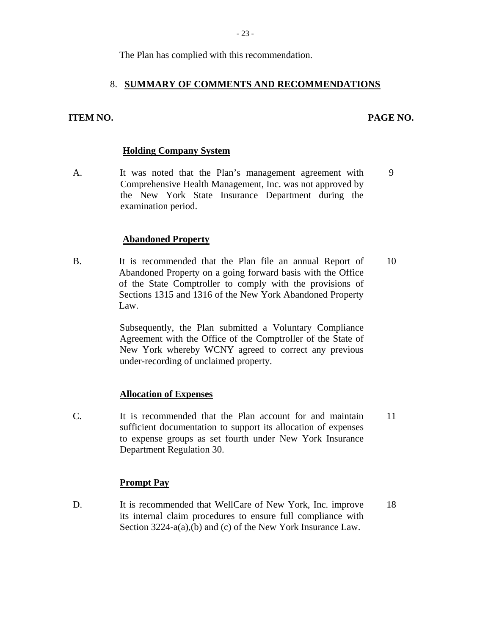The Plan has complied with this recommendation.

#### 8. **SUMMARY OF COMMENTS AND RECOMMENDATIONS**

# **ITEM NO. PAGE NO. Holding Company System**

A. It was noted that the Plan's management agreement with 9 Comprehensive Health Management, Inc. was not approved by the New York State Insurance Department during the examination period.

#### **Abandoned Property**

B. It is recommended that the Plan file an annual Report of 10 Abandoned Property on a going forward basis with the Office of the State Comptroller to comply with the provisions of Sections 1315 and 1316 of the New York Abandoned Property Law.

> Subsequently, the Plan submitted a Voluntary Compliance Agreement with the Office of the Comptroller of the State of New York whereby WCNY agreed to correct any previous under-recording of unclaimed property.

#### **Allocation of Expenses**

C. It is recommended that the Plan account for and maintain 11 sufficient documentation to support its allocation of expenses to expense groups as set fourth under New York Insurance Department Regulation 30.

#### **Prompt Pay**

D. It is recommended that WellCare of New York, Inc. improve 18 its internal claim procedures to ensure full compliance with Section 3224-a(a),(b) and (c) of the New York Insurance Law.

PAGE NO.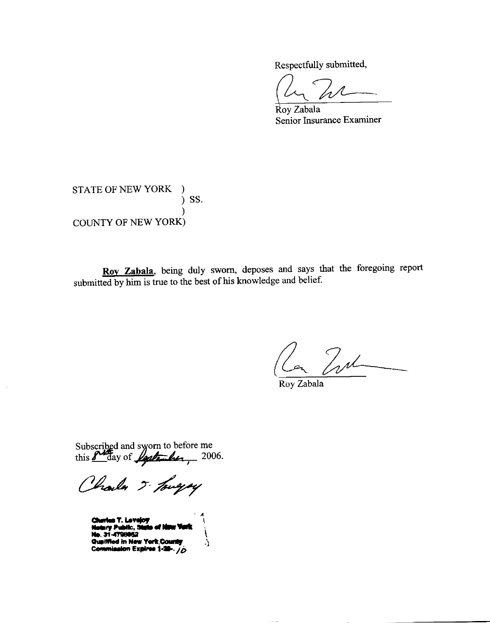Respectfully submitted,

Roy Zabala Senior Insurance Examiner

#### STATE OF NEW YORK ) SS.  $\mathcal{E}$ **COUNTY OF NEW YORK)**

Roy Zabala, being duly sworn, deposes and says that the foregoing report submitted by him is true to the best of his knowledge and belief.

2 In

Roy Zabala

الأولي

Subscribed and sworn to before me<br>this  $\frac{\text{p}}{\text{p}}$  day of  $\frac{\text{p}}{\text{p}}$ 

Charles 5- Touryay

s T. Levelov **b. 31-4798052** Qualified in New York Count Commission Expires 1-28-. /O

\$